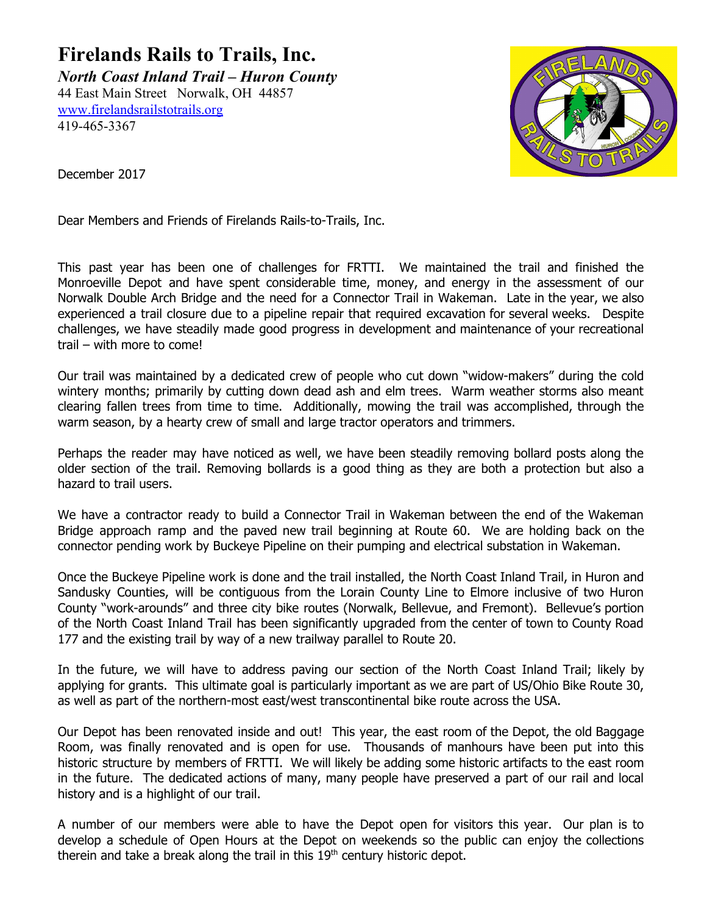**Firelands Rails to Trails, Inc.**

*North Coast Inland Trail – Huron County* 44 East Main Street Norwalk, OH 44857 [www.firelandsrailstotrails.org](http://www.firelandsrailstotrails.org/) 419-465-3367



December 2017

Dear Members and Friends of Firelands Rails-to-Trails, Inc.

This past year has been one of challenges for FRTTI. We maintained the trail and finished the Monroeville Depot and have spent considerable time, money, and energy in the assessment of our Norwalk Double Arch Bridge and the need for a Connector Trail in Wakeman. Late in the year, we also experienced a trail closure due to a pipeline repair that required excavation for several weeks. Despite challenges, we have steadily made good progress in development and maintenance of your recreational trail – with more to come!

Our trail was maintained by a dedicated crew of people who cut down "widow-makers" during the cold wintery months; primarily by cutting down dead ash and elm trees. Warm weather storms also meant clearing fallen trees from time to time. Additionally, mowing the trail was accomplished, through the warm season, by a hearty crew of small and large tractor operators and trimmers.

Perhaps the reader may have noticed as well, we have been steadily removing bollard posts along the older section of the trail. Removing bollards is a good thing as they are both a protection but also a hazard to trail users.

We have a contractor ready to build a Connector Trail in Wakeman between the end of the Wakeman Bridge approach ramp and the paved new trail beginning at Route 60. We are holding back on the connector pending work by Buckeye Pipeline on their pumping and electrical substation in Wakeman.

Once the Buckeye Pipeline work is done and the trail installed, the North Coast Inland Trail, in Huron and Sandusky Counties, will be contiguous from the Lorain County Line to Elmore inclusive of two Huron County "work-arounds" and three city bike routes (Norwalk, Bellevue, and Fremont). Bellevue's portion of the North Coast Inland Trail has been significantly upgraded from the center of town to County Road 177 and the existing trail by way of a new trailway parallel to Route 20.

In the future, we will have to address paving our section of the North Coast Inland Trail; likely by applying for grants. This ultimate goal is particularly important as we are part of US/Ohio Bike Route 30, as well as part of the northern-most east/west transcontinental bike route across the USA.

Our Depot has been renovated inside and out! This year, the east room of the Depot, the old Baggage Room, was finally renovated and is open for use. Thousands of manhours have been put into this historic structure by members of FRTTI. We will likely be adding some historic artifacts to the east room in the future. The dedicated actions of many, many people have preserved a part of our rail and local history and is a highlight of our trail.

A number of our members were able to have the Depot open for visitors this year. Our plan is to develop a schedule of Open Hours at the Depot on weekends so the public can enjoy the collections therein and take a break along the trail in this  $19<sup>th</sup>$  century historic depot.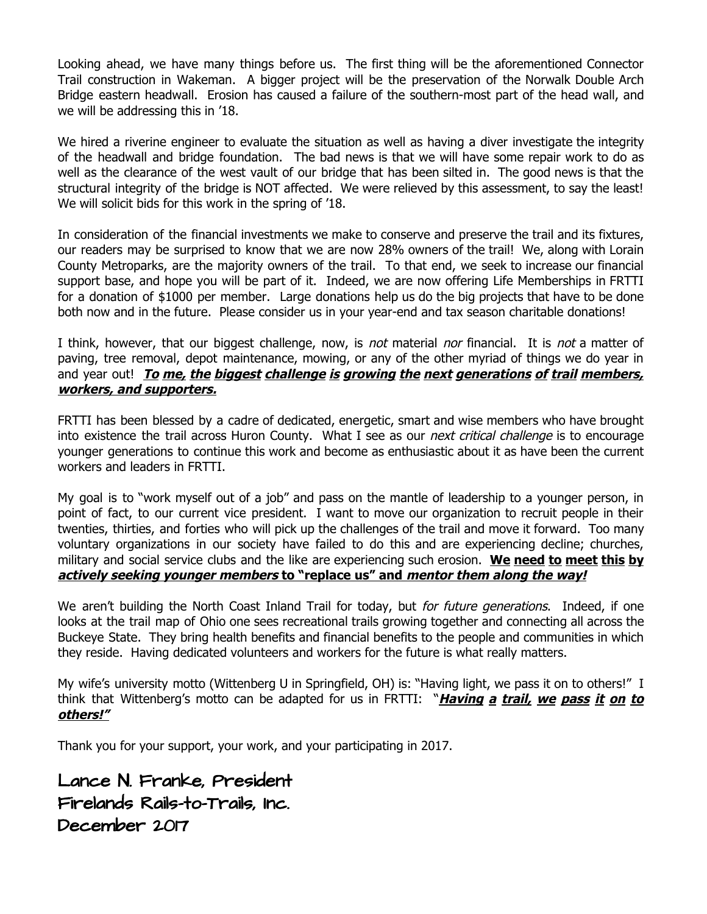Looking ahead, we have many things before us. The first thing will be the aforementioned Connector Trail construction in Wakeman. A bigger project will be the preservation of the Norwalk Double Arch Bridge eastern headwall. Erosion has caused a failure of the southern-most part of the head wall, and we will be addressing this in '18.

We hired a riverine engineer to evaluate the situation as well as having a diver investigate the integrity of the headwall and bridge foundation. The bad news is that we will have some repair work to do as well as the clearance of the west vault of our bridge that has been silted in. The good news is that the structural integrity of the bridge is NOT affected. We were relieved by this assessment, to say the least! We will solicit bids for this work in the spring of '18.

In consideration of the financial investments we make to conserve and preserve the trail and its fixtures, our readers may be surprised to know that we are now 28% owners of the trail! We, along with Lorain County Metroparks, are the majority owners of the trail. To that end, we seek to increase our financial support base, and hope you will be part of it. Indeed, we are now offering Life Memberships in FRTTI for a donation of \$1000 per member. Large donations help us do the big projects that have to be done both now and in the future. Please consider us in your year-end and tax season charitable donations!

I think, however, that our biggest challenge, now, is not material nor financial. It is not a matter of paving, tree removal, depot maintenance, mowing, or any of the other myriad of things we do year in and year out! **To me, the biggest challenge is growing the next generations of trail members, workers, and supporters.**

FRTTI has been blessed by a cadre of dedicated, energetic, smart and wise members who have brought into existence the trail across Huron County. What I see as our *next critical challenge* is to encourage younger generations to continue this work and become as enthusiastic about it as have been the current workers and leaders in FRTTI.

My goal is to "work myself out of a job" and pass on the mantle of leadership to a younger person, in point of fact, to our current vice president. I want to move our organization to recruit people in their twenties, thirties, and forties who will pick up the challenges of the trail and move it forward. Too many voluntary organizations in our society have failed to do this and are experiencing decline; churches, military and social service clubs and the like are experiencing such erosion. **We need to meet this by actively seeking younger members to "replace us" and mentor them along the way!**

We aren't building the North Coast Inland Trail for today, but for future generations. Indeed, if one looks at the trail map of Ohio one sees recreational trails growing together and connecting all across the Buckeye State. They bring health benefits and financial benefits to the people and communities in which they reside. Having dedicated volunteers and workers for the future is what really matters.

My wife's university motto (Wittenberg U in Springfield, OH) is: "Having light, we pass it on to others!" I think that Wittenberg's motto can be adapted for us in FRTTI: "**Having <sup>a</sup> trail, we pass it on to others!"**

Thank you for your support, your work, and your participating in 2017.

Lance N. Franke, President Firelands Rails-to-Trails, Inc. December 2017